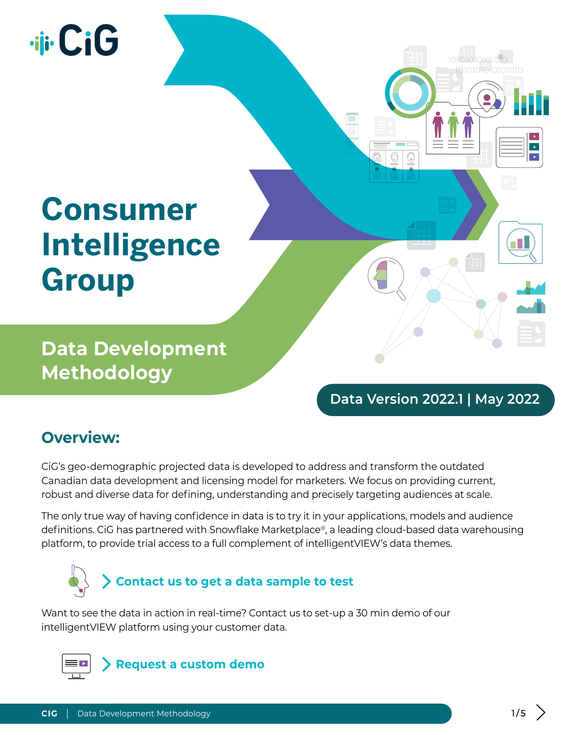# **Jii** CiG

## **Consumer Intelligence Group**

**Data Development Methodology**

#### **Data Version 2022.1 | May 2022**

1010101010101

 $\Box$ 

#### **Overview:**

CiG's geo-demographic projected data is developed to address and transform the outdated Canadian data development and licensing model for marketers. We focus on providing current, robust and diverse data for defining, understanding and precisely targeting audiences at scale.

The only true way of having confidence in data is to try it in your applications, models and audience definitions. CiG has partnered with Snowflake Marketplace®, a leading cloud-based data warehousing platform, to provide trial access to a full complement of intelligentVIEW's data themes.



Want to see the data in action in real-time? Contact us to set-up a 30 min demo of our intelligentVIEW platform using your customer data.

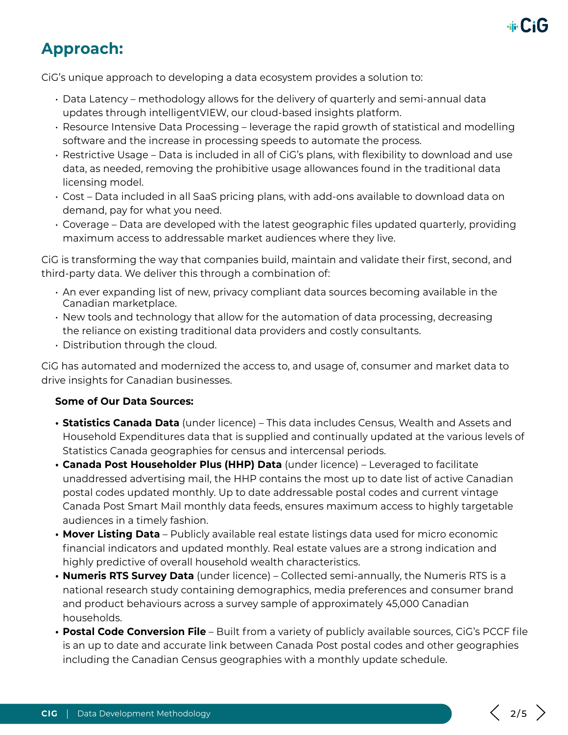

### **Approach:**

CiG's unique approach to developing a data ecosystem provides a solution to:

- Data Latency methodology allows for the delivery of quarterly and semi-annual data updates through intelligentVIEW, our cloud-based insights platform.
- Resource Intensive Data Processing leverage the rapid growth of statistical and modelling software and the increase in processing speeds to automate the process.
- Restrictive Usage Data is included in all of CiG's plans, with flexibility to download and use data, as needed, removing the prohibitive usage allowances found in the traditional data licensing model.
- Cost Data included in all SaaS pricing plans, with add-ons available to download data on demand, pay for what you need.
- Coverage Data are developed with the latest geographic files updated quarterly, providing maximum access to addressable market audiences where they live.

CiG is transforming the way that companies build, maintain and validate their first, second, and third-party data. We deliver this through a combination of:

- An ever expanding list of new, privacy compliant data sources becoming available in the Canadian marketplace.
- New tools and technology that allow for the automation of data processing, decreasing the reliance on existing traditional data providers and costly consultants.
- Distribution through the cloud.

CiG has automated and modernized the access to, and usage of, consumer and market data to drive insights for Canadian businesses.

#### **Some of Our Data Sources:**

- **• Statistics Canada Data** (under licence) This data includes Census, Wealth and Assets and Household Expenditures data that is supplied and continually updated at the various levels of Statistics Canada geographies for census and intercensal periods.
- **• Canada Post Householder Plus (HHP) Data** (under licence) Leveraged to facilitate unaddressed advertising mail, the HHP contains the most up to date list of active Canadian postal codes updated monthly. Up to date addressable postal codes and current vintage Canada Post Smart Mail monthly data feeds, ensures maximum access to highly targetable audiences in a timely fashion.
- **• Mover Listing Data** Publicly available real estate listings data used for micro economic financial indicators and updated monthly. Real estate values are a strong indication and highly predictive of overall household wealth characteristics.
- **• Numeris RTS Survey Data** (under licence) Collected semi-annually, the Numeris RTS is a national research study containing demographics, media preferences and consumer brand and product behaviours across a survey sample of approximately 45,000 Canadian households.
- **• Postal Code Conversion File** Built from a variety of publicly available sources, CiG's PCCF file is an up to date and accurate link between Canada Post postal codes and other geographies including the Canadian Census geographies with a monthly update schedule.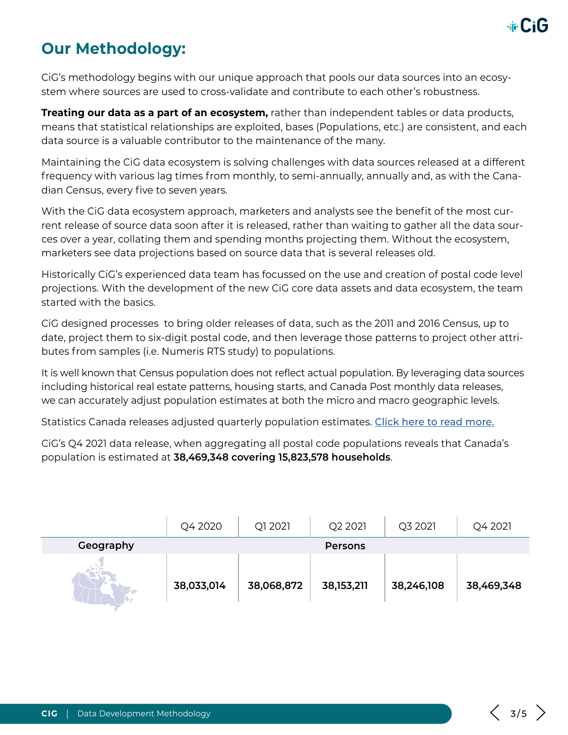

#### **Our Methodology:**

CiG's methodology begins with our unique approach that pools our data sources into an ecosystem where sources are used to cross-validate and contribute to each other's robustness.

**Treating our data as a part of an ecosystem,** rather than independent tables or data products, means that statistical relationships are exploited, bases (Populations, etc.) are consistent, and each data source is a valuable contributor to the maintenance of the many.

Maintaining the CiG data ecosystem is solving challenges with data sources released at a different frequency with various lag times from monthly, to semi-annually, annually and, as with the Canadian Census, every five to seven years.

With the CiG data ecosystem approach, marketers and analysts see the benefit of the most current release of source data soon after it is released, rather than waiting to gather all the data sources over a year, collating them and spending months projecting them. Without the ecosystem, marketers see data projections based on source data that is several releases old.

Historically CiG's experienced data team has focussed on the use and creation of postal code level projections. With the development of the new CiG core data assets and data ecosystem, the team started with the basics.

CiG designed processes to bring older releases of data, such as the 2011 and 2016 Census, up to date, project them to six-digit postal code, and then leverage those patterns to project other attributes from samples (i.e. Numeris RTS study) to populations.

It is well known that Census population does not reflect actual population. By leveraging data sources including historical real estate patterns, housing starts, and Canada Post monthly data releases, we can accurately adjust population estimates at both the micro and macro geographic levels.

Statistics Canada releases adjusted quarterly population estimates. [Click here to read more.](https://www150.statcan.gc.ca/t1/tbl1/en/tv.action?pid=1710000901)

CiG's Q4 2021 data release, when aggregating all postal code populations reveals that Canada's population is estimated at **38,469,348 covering 15,823,578 households**.

|           | Q4 2020    | Q1 2021    | Q <sub>2</sub> 2021 | Q3 2021    | Q4 2021    |
|-----------|------------|------------|---------------------|------------|------------|
| Geography |            |            | <b>Persons</b>      |            |            |
|           | 38,033,014 | 38,068,872 | 38, 153, 211        | 38,246,108 | 38,469,348 |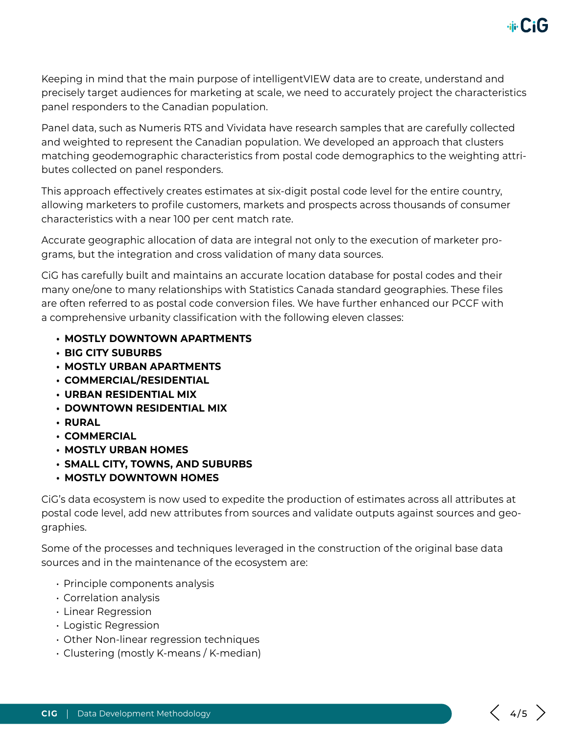Keeping in mind that the main purpose of intelligentVIEW data are to create, understand and precisely target audiences for marketing at scale, we need to accurately project the characteristics panel responders to the Canadian population.

Panel data, such as Numeris RTS and Vividata have research samples that are carefully collected and weighted to represent the Canadian population. We developed an approach that clusters matching geodemographic characteristics from postal code demographics to the weighting attributes collected on panel responders.

This approach effectively creates estimates at six-digit postal code level for the entire country, allowing marketers to profile customers, markets and prospects across thousands of consumer characteristics with a near 100 per cent match rate.

Accurate geographic allocation of data are integral not only to the execution of marketer programs, but the integration and cross validation of many data sources.

CiG has carefully built and maintains an accurate location database for postal codes and their many one/one to many relationships with Statistics Canada standard geographies. These files are often referred to as postal code conversion files. We have further enhanced our PCCF with a comprehensive urbanity classification with the following eleven classes:

- **• MOSTLY DOWNTOWN APARTMENTS**
- **• BIG CITY SUBURBS**
- **• MOSTLY URBAN APARTMENTS**
- **• COMMERCIAL/RESIDENTIAL**
- **• URBAN RESIDENTIAL MIX**
- **• DOWNTOWN RESIDENTIAL MIX**
- **• RURAL**
- **• COMMERCIAL**
- **• MOSTLY URBAN HOMES**
- **• SMALL CITY, TOWNS, AND SUBURBS**
- **• MOSTLY DOWNTOWN HOMES**

CiG's data ecosystem is now used to expedite the production of estimates across all attributes at postal code level, add new attributes from sources and validate outputs against sources and geographies.

Some of the processes and techniques leveraged in the construction of the original base data sources and in the maintenance of the ecosystem are:

- Principle components analysis
- Correlation analysis
- Linear Regression
- Logistic Regression
- Other Non-linear regression techniques
- Clustering (mostly K-means / K-median)

**dir CiG**